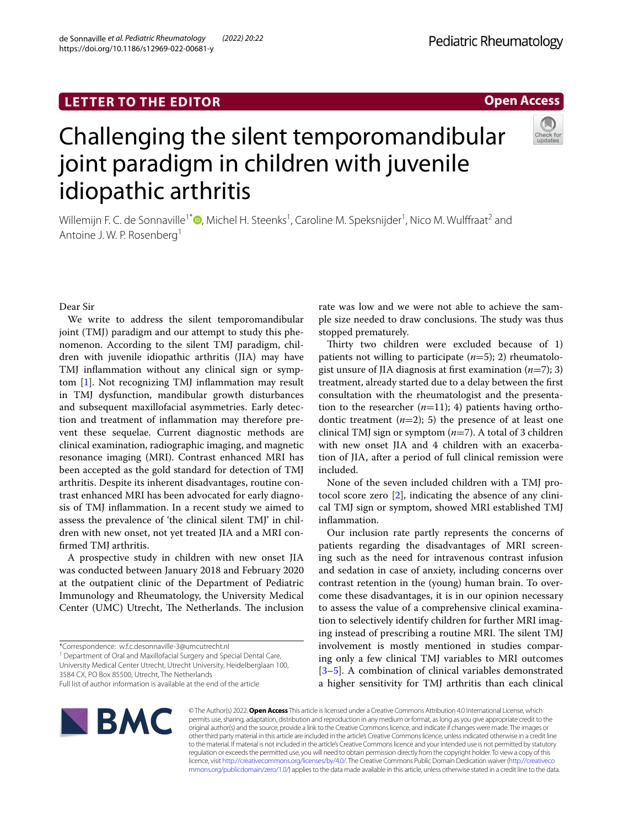## **LETTER TO THE EDITOR**

# Challenging the silent temporomandibular joint paradigm in children with juvenile idiopathic arthritis

Willemijn F. C. de Sonnaville<sup>1\*</sup> (**D**[,](http://orcid.org/0000-0002-2686-3993) Michel H. Steenks<sup>1</sup>, Caroline M. Speksnijder<sup>1</sup>, Nico M. Wulffraat<sup>2</sup> and Antoine J. W. P. Rosenberg<sup>1</sup>

Dear Sir

We write to address the silent temporomandibular joint (TMJ) paradigm and our attempt to study this phenomenon. According to the silent TMJ paradigm, children with juvenile idiopathic arthritis (JIA) may have TMJ infammation without any clinical sign or symptom [\[1\]](#page-1-0). Not recognizing TMJ infammation may result in TMJ dysfunction, mandibular growth disturbances and subsequent maxillofacial asymmetries. Early detection and treatment of infammation may therefore prevent these sequelae. Current diagnostic methods are clinical examination, radiographic imaging, and magnetic resonance imaging (MRI). Contrast enhanced MRI has been accepted as the gold standard for detection of TMJ arthritis. Despite its inherent disadvantages, routine contrast enhanced MRI has been advocated for early diagnosis of TMJ infammation. In a recent study we aimed to assess the prevalence of 'the clinical silent TMJ' in children with new onset, not yet treated JIA and a MRI confrmed TMJ arthritis.

A prospective study in children with new onset JIA was conducted between January 2018 and February 2020 at the outpatient clinic of the Department of Pediatric Immunology and Rheumatology, the University Medical Center (UMC) Utrecht, The Netherlands. The inclusion

<sup>1</sup> Department of Oral and Maxillofacial Surgery and Special Dental Care, University Medical Center Utrecht, Utrecht University, Heidelberglaan 100,

3584 CX, PO Box 85500, Utrecht, The Netherlands

Full list of author information is available at the end of the article

rate was low and we were not able to achieve the sample size needed to draw conclusions. The study was thus stopped prematurely.

Thirty two children were excluded because of  $1$ ) patients not willing to participate (*n*=5); 2) rheumatologist unsure of JIA diagnosis at frst examination (*n*=7); 3) treatment, already started due to a delay between the frst consultation with the rheumatologist and the presentation to the researcher  $(n=11)$ ; 4) patients having orthodontic treatment  $(n=2)$ ; 5) the presence of at least one clinical TMJ sign or symptom (*n*=7). A total of 3 children with new onset JIA and 4 children with an exacerbation of JIA, after a period of full clinical remission were included.

None of the seven included children with a TMJ protocol score zero [[2\]](#page-1-1), indicating the absence of any clinical TMJ sign or symptom, showed MRI established TMJ infammation.

Our inclusion rate partly represents the concerns of patients regarding the disadvantages of MRI screening such as the need for intravenous contrast infusion and sedation in case of anxiety, including concerns over contrast retention in the (young) human brain. To overcome these disadvantages, it is in our opinion necessary to assess the value of a comprehensive clinical examination to selectively identify children for further MRI imaging instead of prescribing a routine MRI. The silent TMJ involvement is mostly mentioned in studies comparing only a few clinical TMJ variables to MRI outcomes [[3–](#page-1-2)[5\]](#page-1-3). A combination of clinical variables demonstrated a higher sensitivity for TMJ arthritis than each clinical



© The Author(s) 2022. **Open Access** This article is licensed under a Creative Commons Attribution 4.0 International License, which permits use, sharing, adaptation, distribution and reproduction in any medium or format, as long as you give appropriate credit to the original author(s) and the source, provide a link to the Creative Commons licence, and indicate if changes were made. The images or other third party material in this article are included in the article's Creative Commons licence, unless indicated otherwise in a credit line to the material. If material is not included in the article's Creative Commons licence and your intended use is not permitted by statutory regulation or exceeds the permitted use, you will need to obtain permission directly from the copyright holder. To view a copy of this licence, visit [http://creativecommons.org/licenses/by/4.0/.](http://creativecommons.org/licenses/by/4.0/) The Creative Commons Public Domain Dedication waiver ([http://creativeco](http://creativecommons.org/publicdomain/zero/1.0/) [mmons.org/publicdomain/zero/1.0/](http://creativecommons.org/publicdomain/zero/1.0/)) applies to the data made available in this article, unless otherwise stated in a credit line to the data.



**Open Access**

<sup>\*</sup>Correspondence: w.f.c.desonnaville-3@umcutrecht.nl